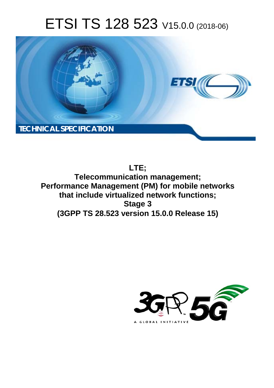# ETSI TS 128 523 V15.0.0 (2018-06)



**LTE; Telecommunication management; Performance Management (PM) for mobile networks that include virtualized network functions; Stage 3 (3GPP TS 28.523 version 15.0.0 Release 15)** 

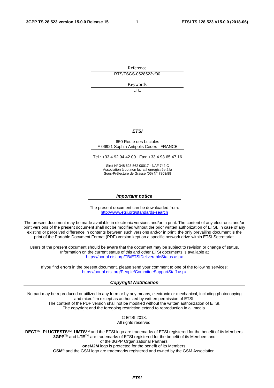Reference RTS/TSGS-0528523vf00

Keywords

LTE

#### *ETSI*

#### 650 Route des Lucioles F-06921 Sophia Antipolis Cedex - FRANCE

Tel.: +33 4 92 94 42 00 Fax: +33 4 93 65 47 16

Siret N° 348 623 562 00017 - NAF 742 C Association à but non lucratif enregistrée à la Sous-Préfecture de Grasse (06) N° 7803/88

#### *Important notice*

The present document can be downloaded from: <http://www.etsi.org/standards-search>

The present document may be made available in electronic versions and/or in print. The content of any electronic and/or print versions of the present document shall not be modified without the prior written authorization of ETSI. In case of any existing or perceived difference in contents between such versions and/or in print, the only prevailing document is the print of the Portable Document Format (PDF) version kept on a specific network drive within ETSI Secretariat.

Users of the present document should be aware that the document may be subject to revision or change of status. Information on the current status of this and other ETSI documents is available at <https://portal.etsi.org/TB/ETSIDeliverableStatus.aspx>

If you find errors in the present document, please send your comment to one of the following services: <https://portal.etsi.org/People/CommiteeSupportStaff.aspx>

#### *Copyright Notification*

No part may be reproduced or utilized in any form or by any means, electronic or mechanical, including photocopying and microfilm except as authorized by written permission of ETSI. The content of the PDF version shall not be modified without the written authorization of ETSI. The copyright and the foregoing restriction extend to reproduction in all media.

> © ETSI 2018. All rights reserved.

**DECT**TM, **PLUGTESTS**TM, **UMTS**TM and the ETSI logo are trademarks of ETSI registered for the benefit of its Members. **3GPP**TM and **LTE**TM are trademarks of ETSI registered for the benefit of its Members and of the 3GPP Organizational Partners. **oneM2M** logo is protected for the benefit of its Members.

**GSM**® and the GSM logo are trademarks registered and owned by the GSM Association.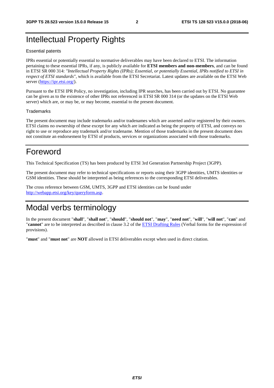#### Intellectual Property Rights

#### Essential patents

IPRs essential or potentially essential to normative deliverables may have been declared to ETSI. The information pertaining to these essential IPRs, if any, is publicly available for **ETSI members and non-members**, and can be found in ETSI SR 000 314: *"Intellectual Property Rights (IPRs); Essential, or potentially Essential, IPRs notified to ETSI in respect of ETSI standards"*, which is available from the ETSI Secretariat. Latest updates are available on the ETSI Web server ([https://ipr.etsi.org/\)](https://ipr.etsi.org/).

Pursuant to the ETSI IPR Policy, no investigation, including IPR searches, has been carried out by ETSI. No guarantee can be given as to the existence of other IPRs not referenced in ETSI SR 000 314 (or the updates on the ETSI Web server) which are, or may be, or may become, essential to the present document.

#### **Trademarks**

The present document may include trademarks and/or tradenames which are asserted and/or registered by their owners. ETSI claims no ownership of these except for any which are indicated as being the property of ETSI, and conveys no right to use or reproduce any trademark and/or tradename. Mention of those trademarks in the present document does not constitute an endorsement by ETSI of products, services or organizations associated with those trademarks.

#### Foreword

This Technical Specification (TS) has been produced by ETSI 3rd Generation Partnership Project (3GPP).

The present document may refer to technical specifications or reports using their 3GPP identities, UMTS identities or GSM identities. These should be interpreted as being references to the corresponding ETSI deliverables.

The cross reference between GSM, UMTS, 3GPP and ETSI identities can be found under [http://webapp.etsi.org/key/queryform.asp.](http://webapp.etsi.org/key/queryform.asp)

### Modal verbs terminology

In the present document "**shall**", "**shall not**", "**should**", "**should not**", "**may**", "**need not**", "**will**", "**will not**", "**can**" and "**cannot**" are to be interpreted as described in clause 3.2 of the [ETSI Drafting Rules](https://portal.etsi.org/Services/editHelp!/Howtostart/ETSIDraftingRules.aspx) (Verbal forms for the expression of provisions).

"**must**" and "**must not**" are **NOT** allowed in ETSI deliverables except when used in direct citation.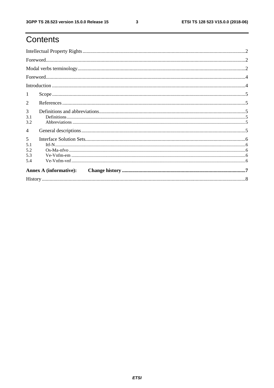$\mathbf{3}$ 

# Contents

| 1              |                               |  |  |  |  |  |
|----------------|-------------------------------|--|--|--|--|--|
| 2              |                               |  |  |  |  |  |
| 3              |                               |  |  |  |  |  |
| 3.1<br>3.2     |                               |  |  |  |  |  |
| $\overline{4}$ |                               |  |  |  |  |  |
| $\mathfrak{S}$ |                               |  |  |  |  |  |
| 5.1            |                               |  |  |  |  |  |
| 5.2            |                               |  |  |  |  |  |
| 5.3            |                               |  |  |  |  |  |
| 5.4            |                               |  |  |  |  |  |
|                | <b>Annex A (informative):</b> |  |  |  |  |  |
|                |                               |  |  |  |  |  |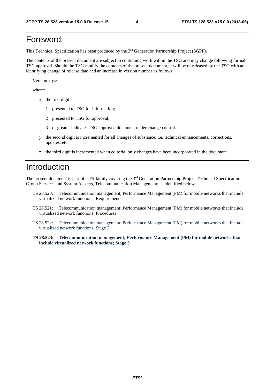### Foreword

This Technical Specification has been produced by the 3rd Generation Partnership Project (3GPP).

The contents of the present document are subject to continuing work within the TSG and may change following formal TSG approval. Should the TSG modify the contents of the present document, it will be re-released by the TSG with an identifying change of release date and an increase in version number as follows:

Version x.y.z

where:

- x the first digit:
	- 1 presented to TSG for information;
	- 2 presented to TSG for approval;
	- 3 or greater indicates TSG approved document under change control.
- y the second digit is incremented for all changes of substance, i.e. technical enhancements, corrections, updates, etc.
- z the third digit is incremented when editorial only changes have been incorporated in the document.

#### Introduction

The present document is part of a TS-family covering the 3rd Generation Partnership Project Technical Specification Group Services and System Aspects, Telecommunication Management; as identified below:

- TS 28.520: Telecommunication management; Performance Management (PM) for mobile networks that include virtualized network functions; Requirements
- TS 28.521: Telecommunication management; Performance Management (PM) for mobile networks that include virtualized network functions; Procedures
- TS 28.522: Telecommunication management; Performance Management (PM) for mobile networks that include virtualized network functions; Stage 2
- **TS 28.523: Telecommunication management; Performance Management (PM) for mobile networks that include virtualized network functions; Stage 3**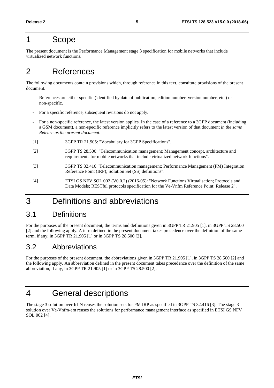### 1 Scope

The present document is the Performance Management stage 3 specification for mobile networks that include virtualized network functions.

### 2 References

The following documents contain provisions which, through reference in this text, constitute provisions of the present document.

- References are either specific (identified by date of publication, edition number, version number, etc.) or non-specific.
- For a specific reference, subsequent revisions do not apply.
- For a non-specific reference, the latest version applies. In the case of a reference to a 3GPP document (including a GSM document), a non-specific reference implicitly refers to the latest version of that document *in the same Release as the present document*.
- [1] 3GPP TR 21.905: "Vocabulary for 3GPP Specifications".
- [2] 3GPP TS 28.500: "Telecommunication management; Management concept, architecture and requirements for mobile networks that include virtualized network functions".
- [3] 3GPP TS 32.416:"Telecommunication management; Performance Management (PM) Integration Reference Point (IRP); Solution Set (SS) definitions".
- [4] ETSI GS NFV SOL 002 (V0.0.2) (2016-05): "Network Functions Virtualisation; Protocols and Data Models; RESTful protocols specification for the Ve-Vnfm Reference Point; Release 2".

### 3 Definitions and abbreviations

#### 3.1 Definitions

For the purposes of the present document, the terms and definitions given in 3GPP TR 21.905 [1], in 3GPP TS 28.500 [2] and the following apply. A term defined in the present document takes precedence over the definition of the same term, if any, in 3GPP TR 21.905 [1] or in 3GPP TS 28.500 [2].

#### 3.2 Abbreviations

For the purposes of the present document, the abbreviations given in 3GPP TR 21.905 [1], in 3GPP TS 28.500 [2] and the following apply. An abbreviation defined in the present document takes precedence over the definition of the same abbreviation, if any, in 3GPP TR 21.905 [1] or in 3GPP TS 28.500 [2].

### 4 General descriptions

The stage 3 solution over Itf-N reuses the solution sets for PM IRP as specified in 3GPP TS 32.416 [3]. The stage 3 solution over Ve-Vnfm-em reuses the solutions for performance management interface as specified in ETSI GS NFV SOL 002 [4].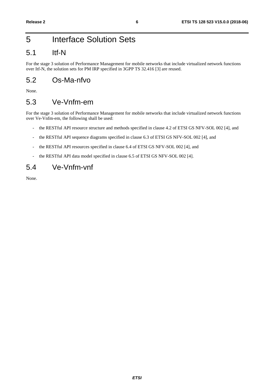# 5 Interface Solution Sets

#### 5.1 Itf-N

For the stage 3 solution of Performance Management for mobile networks that include virtualized network functions over Itf-N, the solution sets for PM IRP specified in 3GPP TS 32.416 [3] are reused.

#### 5.2 Os-Ma-nfvo

None.

#### 5.3 Ve-Vnfm-em

For the stage 3 solution of Performance Management for mobile networks that include virtualized network functions over Ve-Vnfm-em, the following shall be used:

- the RESTful API resource structure and methods specified in clause 4.2 of ETSI GS NFV-SOL 002 [4], and
- the RESTful API sequence diagrams specified in clause 6.3 of ETSI GS NFV-SOL 002 [4], and
- the RESTful API resources specified in clause 6.4 of ETSI GS NFV-SOL 002 [4], and
- the RESTful API data model specified in clause 6.5 of ETSI GS NFV-SOL 002 [4].

#### 5.4 Ve-Vnfm-vnf

None.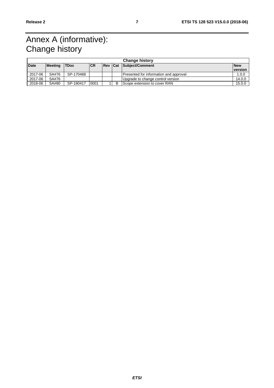# Annex A (informative): Change history

| <b>Change history</b> |                |             |            |            |   |                                        |            |  |  |  |
|-----------------------|----------------|-------------|------------|------------|---|----------------------------------------|------------|--|--|--|
| <b>Date</b>           | <b>Meeting</b> | <b>TDoc</b> | <b>ICR</b> | <b>Rev</b> |   | Cat Subject/Comment                    | <b>New</b> |  |  |  |
|                       |                |             |            |            |   |                                        | version    |  |  |  |
| 2017-06               | SA#76          | SP-170468   |            |            |   | Presented for information and approval | 1.0.0      |  |  |  |
| 2017-06               | SA#76          |             |            |            |   | Upgrade to change control version      | 14.0.0     |  |  |  |
| 2018-06               | SA#80          | SP-180417   | 0001       |            | B | Scope extension to cover RAN           | 15.0.0     |  |  |  |